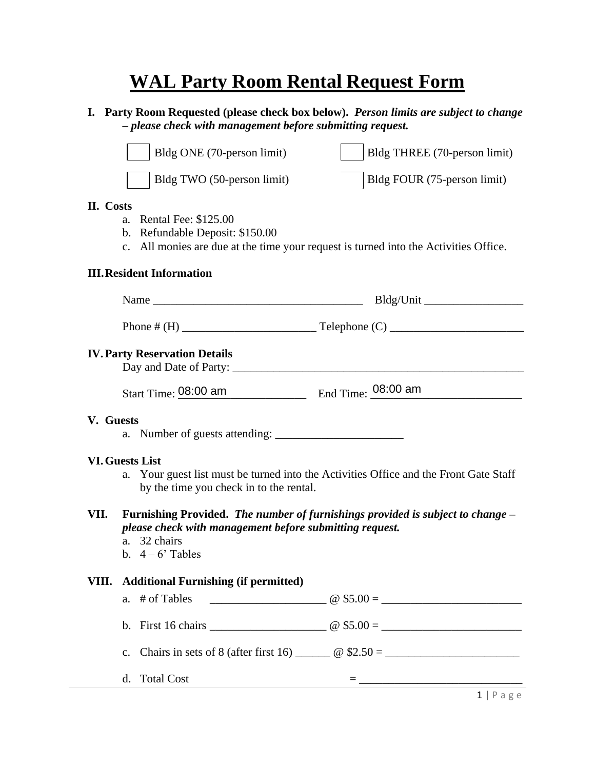## **WAL Party Room Rental Request Form**

**I. Party Room Requested (please check box below).** *Person limits are subject to change – please check with management before submitting request.*

|                                                                                                                                                                           | Bldg ONE (70-person limit)                                                                                                                                                   | Bldg THREE (70-person limit)                                                                             |  |  |  |  |  |
|---------------------------------------------------------------------------------------------------------------------------------------------------------------------------|------------------------------------------------------------------------------------------------------------------------------------------------------------------------------|----------------------------------------------------------------------------------------------------------|--|--|--|--|--|
|                                                                                                                                                                           | Bldg TWO (50-person limit)                                                                                                                                                   | Bldg FOUR (75-person limit)                                                                              |  |  |  |  |  |
| II. Costs<br><b>Rental Fee: \$125.00</b><br>a.<br>b. Refundable Deposit: \$150.00<br>c. All monies are due at the time your request is turned into the Activities Office. |                                                                                                                                                                              |                                                                                                          |  |  |  |  |  |
| <b>III. Resident Information</b>                                                                                                                                          |                                                                                                                                                                              |                                                                                                          |  |  |  |  |  |
|                                                                                                                                                                           |                                                                                                                                                                              |                                                                                                          |  |  |  |  |  |
|                                                                                                                                                                           |                                                                                                                                                                              |                                                                                                          |  |  |  |  |  |
| <b>IV. Party Reservation Details</b>                                                                                                                                      |                                                                                                                                                                              |                                                                                                          |  |  |  |  |  |
|                                                                                                                                                                           | Start Time: 08:00 am                                                                                                                                                         | $\frac{1}{2}$ End Time: $\frac{08:00}{2}$ am                                                             |  |  |  |  |  |
| V. Guests                                                                                                                                                                 |                                                                                                                                                                              |                                                                                                          |  |  |  |  |  |
| <b>VI. Guests List</b>                                                                                                                                                    |                                                                                                                                                                              |                                                                                                          |  |  |  |  |  |
| a. Your guest list must be turned into the Activities Office and the Front Gate Staff<br>by the time you check in to the rental.                                          |                                                                                                                                                                              |                                                                                                          |  |  |  |  |  |
| VII.                                                                                                                                                                      | Furnishing Provided. The number of furnishings provided is subject to change –<br>please check with management before submitting request.<br>a. 32 chairs<br>b. $4-6$ Tables |                                                                                                          |  |  |  |  |  |
| VIII.                                                                                                                                                                     | <b>Additional Furnishing (if permitted)</b>                                                                                                                                  |                                                                                                          |  |  |  |  |  |
|                                                                                                                                                                           | # of Tables<br>a.                                                                                                                                                            |                                                                                                          |  |  |  |  |  |
|                                                                                                                                                                           |                                                                                                                                                                              |                                                                                                          |  |  |  |  |  |
|                                                                                                                                                                           | $\mathbf{c}$ .                                                                                                                                                               | Chairs in sets of 8 (after first 16) $\qquad \qquad \textcircled{ } $2.50 = \qquad \qquad \qquad \qquad$ |  |  |  |  |  |
|                                                                                                                                                                           | <b>Total Cost</b><br>d.                                                                                                                                                      |                                                                                                          |  |  |  |  |  |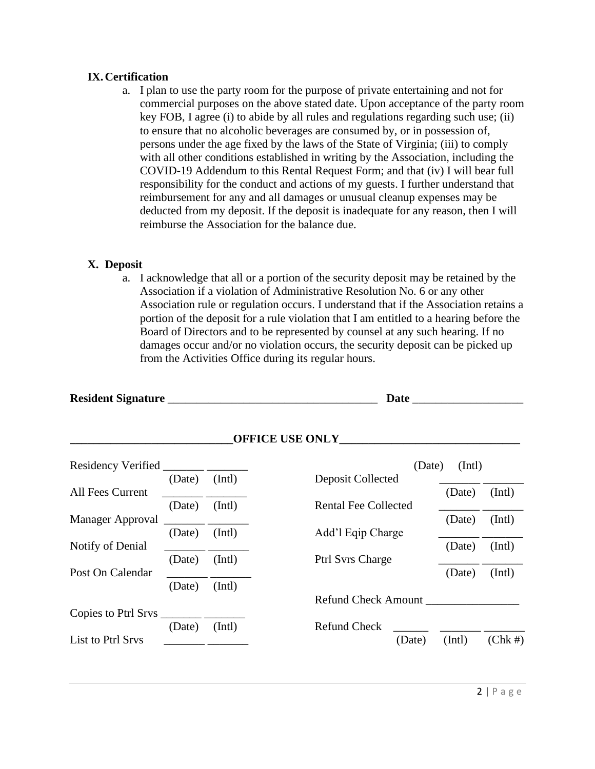## **IX.Certification**

a. I plan to use the party room for the purpose of private entertaining and not for commercial purposes on the above stated date. Upon acceptance of the party room key FOB, I agree (i) to abide by all rules and regulations regarding such use; (ii) to ensure that no alcoholic beverages are consumed by, or in possession of, persons under the age fixed by the laws of the State of Virginia; (iii) to comply with all other conditions established in writing by the Association, including the COVID-19 Addendum to this Rental Request Form; and that (iv) I will bear full responsibility for the conduct and actions of my guests. I further understand that reimbursement for any and all damages or unusual cleanup expenses may be deducted from my deposit. If the deposit is inadequate for any reason, then I will reimburse the Association for the balance due.

## **X. Deposit**

a. I acknowledge that all or a portion of the security deposit may be retained by the Association if a violation of Administrative Resolution No. 6 or any other Association rule or regulation occurs. I understand that if the Association retains a portion of the deposit for a rule violation that I am entitled to a hearing before the Board of Directors and to be represented by counsel at any such hearing. If no damages occur and/or no violation occurs, the security deposit can be picked up from the Activities Office during its regular hours.

|                              |                 |                                                       | <b>Date</b>                 |        |            |
|------------------------------|-----------------|-------------------------------------------------------|-----------------------------|--------|------------|
|                              | OFFICE USE ONLY |                                                       |                             |        |            |
|                              |                 |                                                       | (Date)                      | (Intl) |            |
|                              | (Date)          | (Intl)                                                | Deposit Collected           |        |            |
| All Fees Current             |                 |                                                       |                             | (Date) | (Intl)     |
|                              | (Date)          | (Intl)                                                | <b>Rental Fee Collected</b> |        |            |
| Manager Approval             |                 | <u> 1989 - Jan Jawa Barat, pamanén Jawa Barat, pa</u> |                             | (Date) | (Intl)     |
|                              | (Date) (Intl)   |                                                       | Add'l Eqip Charge           |        |            |
| Notify of Denial             |                 |                                                       |                             | (Date) | (Intl)     |
|                              | (Date) (Intl)   |                                                       | <b>Ptrl Syrs Charge</b>     |        |            |
| Post On Calendar             |                 |                                                       |                             | (Date) | (Intl)     |
|                              | (Date)          | (Intl)                                                |                             |        |            |
|                              |                 |                                                       | Refund Check Amount         |        |            |
| Copies to Ptrl Srvs ________ |                 |                                                       |                             |        |            |
|                              | (Date)          | (Intl)                                                | <b>Refund Check</b>         |        |            |
| List to Ptrl Srvs            |                 |                                                       | (Date)                      | (Intl) | $(Chk \#)$ |
|                              |                 |                                                       |                             |        |            |